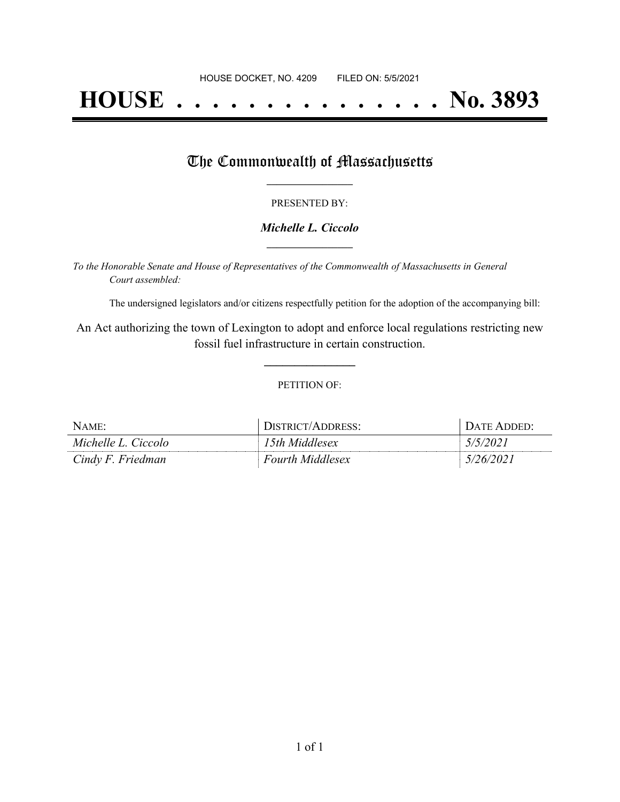# **HOUSE . . . . . . . . . . . . . . . No. 3893**

## The Commonwealth of Massachusetts

#### PRESENTED BY:

#### *Michelle L. Ciccolo* **\_\_\_\_\_\_\_\_\_\_\_\_\_\_\_\_\_**

*To the Honorable Senate and House of Representatives of the Commonwealth of Massachusetts in General Court assembled:*

The undersigned legislators and/or citizens respectfully petition for the adoption of the accompanying bill:

An Act authorizing the town of Lexington to adopt and enforce local regulations restricting new fossil fuel infrastructure in certain construction.

**\_\_\_\_\_\_\_\_\_\_\_\_\_\_\_**

#### PETITION OF:

| NAME:               | DISTRICT/ADDRESS:       | DATE ADDED:     |
|---------------------|-------------------------|-----------------|
| Michelle L. Ciccolo | 15th Middlesex          | <i>5/5/2021</i> |
| Cindy F. Friedman   | <b>Fourth Middlesex</b> | 5/26/2021       |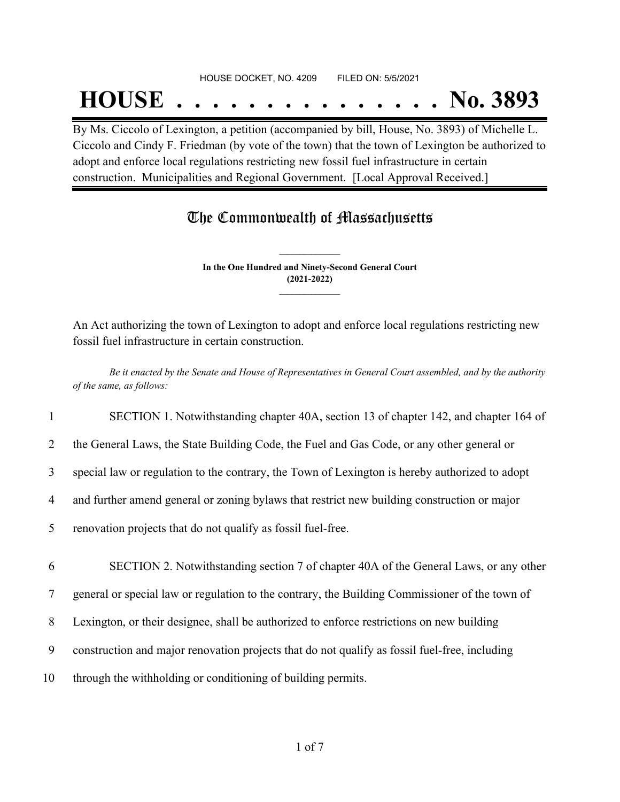#### HOUSE DOCKET, NO. 4209 FILED ON: 5/5/2021

## **HOUSE . . . . . . . . . . . . . . . No. 3893**

By Ms. Ciccolo of Lexington, a petition (accompanied by bill, House, No. 3893) of Michelle L. Ciccolo and Cindy F. Friedman (by vote of the town) that the town of Lexington be authorized to adopt and enforce local regulations restricting new fossil fuel infrastructure in certain construction. Municipalities and Regional Government. [Local Approval Received.]

## The Commonwealth of Massachusetts

**In the One Hundred and Ninety-Second General Court (2021-2022) \_\_\_\_\_\_\_\_\_\_\_\_\_\_\_**

**\_\_\_\_\_\_\_\_\_\_\_\_\_\_\_**

An Act authorizing the town of Lexington to adopt and enforce local regulations restricting new fossil fuel infrastructure in certain construction.

Be it enacted by the Senate and House of Representatives in General Court assembled, and by the authority *of the same, as follows:*

1 SECTION 1. Notwithstanding chapter 40A, section 13 of chapter 142, and chapter 164 of

2 the General Laws, the State Building Code, the Fuel and Gas Code, or any other general or

3 special law or regulation to the contrary, the Town of Lexington is hereby authorized to adopt

4 and further amend general or zoning bylaws that restrict new building construction or major

5 renovation projects that do not qualify as fossil fuel-free.

6 SECTION 2. Notwithstanding section 7 of chapter 40A of the General Laws, or any other

7 general or special law or regulation to the contrary, the Building Commissioner of the town of

8 Lexington, or their designee, shall be authorized to enforce restrictions on new building

9 construction and major renovation projects that do not qualify as fossil fuel-free, including

10 through the withholding or conditioning of building permits.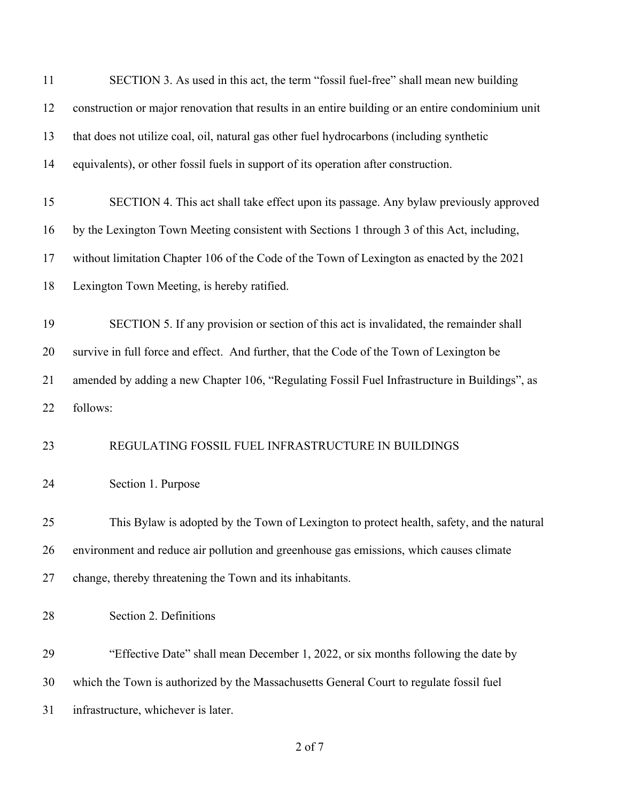| 11 | SECTION 3. As used in this act, the term "fossil fuel-free" shall mean new building               |
|----|---------------------------------------------------------------------------------------------------|
| 12 | construction or major renovation that results in an entire building or an entire condominium unit |
| 13 | that does not utilize coal, oil, natural gas other fuel hydrocarbons (including synthetic         |
| 14 | equivalents), or other fossil fuels in support of its operation after construction.               |
| 15 | SECTION 4. This act shall take effect upon its passage. Any bylaw previously approved             |
| 16 | by the Lexington Town Meeting consistent with Sections 1 through 3 of this Act, including,        |
| 17 | without limitation Chapter 106 of the Code of the Town of Lexington as enacted by the 2021        |
| 18 | Lexington Town Meeting, is hereby ratified.                                                       |
| 19 | SECTION 5. If any provision or section of this act is invalidated, the remainder shall            |
| 20 | survive in full force and effect. And further, that the Code of the Town of Lexington be          |
| 21 | amended by adding a new Chapter 106, "Regulating Fossil Fuel Infrastructure in Buildings", as     |
| 22 | follows:                                                                                          |
| 23 | REGULATING FOSSIL FUEL INFRASTRUCTURE IN BUILDINGS                                                |
| 24 | Section 1. Purpose                                                                                |
| 25 | This Bylaw is adopted by the Town of Lexington to protect health, safety, and the natural         |
| 26 | environment and reduce air pollution and greenhouse gas emissions, which causes climate           |
| 27 | change, thereby threatening the Town and its inhabitants.                                         |
| 28 | Section 2. Definitions                                                                            |
| 29 | "Effective Date" shall mean December 1, 2022, or six months following the date by                 |
| 30 | which the Town is authorized by the Massachusetts General Court to regulate fossil fuel           |
| 31 | infrastructure, whichever is later.                                                               |
|    |                                                                                                   |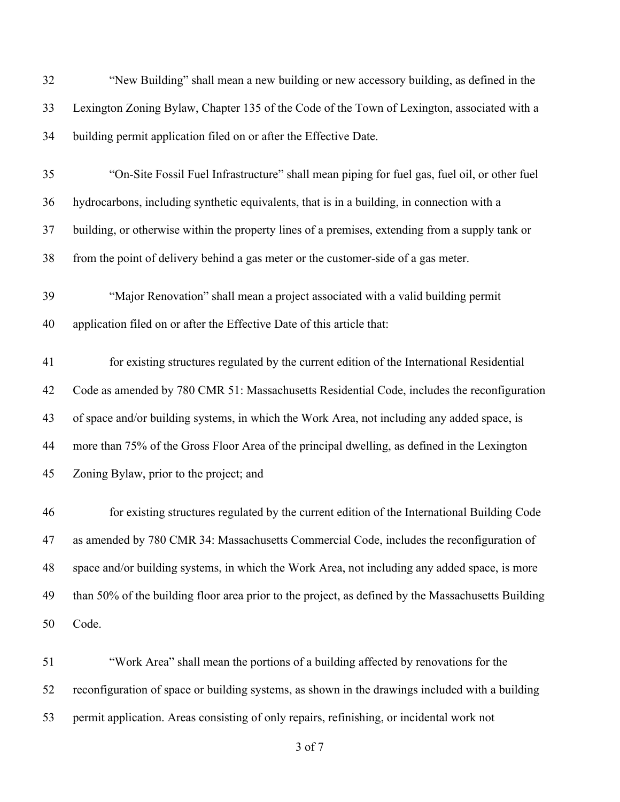| 32 | "New Building" shall mean a new building or new accessory building, as defined in the              |
|----|----------------------------------------------------------------------------------------------------|
| 33 | Lexington Zoning Bylaw, Chapter 135 of the Code of the Town of Lexington, associated with a        |
| 34 | building permit application filed on or after the Effective Date.                                  |
| 35 | "On-Site Fossil Fuel Infrastructure" shall mean piping for fuel gas, fuel oil, or other fuel       |
| 36 | hydrocarbons, including synthetic equivalents, that is in a building, in connection with a         |
| 37 | building, or otherwise within the property lines of a premises, extending from a supply tank or    |
| 38 | from the point of delivery behind a gas meter or the customer-side of a gas meter.                 |
| 39 | "Major Renovation" shall mean a project associated with a valid building permit                    |
| 40 | application filed on or after the Effective Date of this article that:                             |
| 41 | for existing structures regulated by the current edition of the International Residential          |
| 42 | Code as amended by 780 CMR 51: Massachusetts Residential Code, includes the reconfiguration        |
| 43 | of space and/or building systems, in which the Work Area, not including any added space, is        |
| 44 | more than 75% of the Gross Floor Area of the principal dwelling, as defined in the Lexington       |
| 45 | Zoning Bylaw, prior to the project; and                                                            |
| 46 | for existing structures regulated by the current edition of the International Building Code        |
| 47 | as amended by 780 CMR 34: Massachusetts Commercial Code, includes the reconfiguration of           |
| 48 | space and/or building systems, in which the Work Area, not including any added space, is more      |
| 49 | than 50% of the building floor area prior to the project, as defined by the Massachusetts Building |
| 50 | Code.                                                                                              |
| 51 | "Work Area" shall mean the portions of a building affected by renovations for the                  |
| 52 | reconfiguration of space or building systems, as shown in the drawings included with a building    |

permit application. Areas consisting of only repairs, refinishing, or incidental work not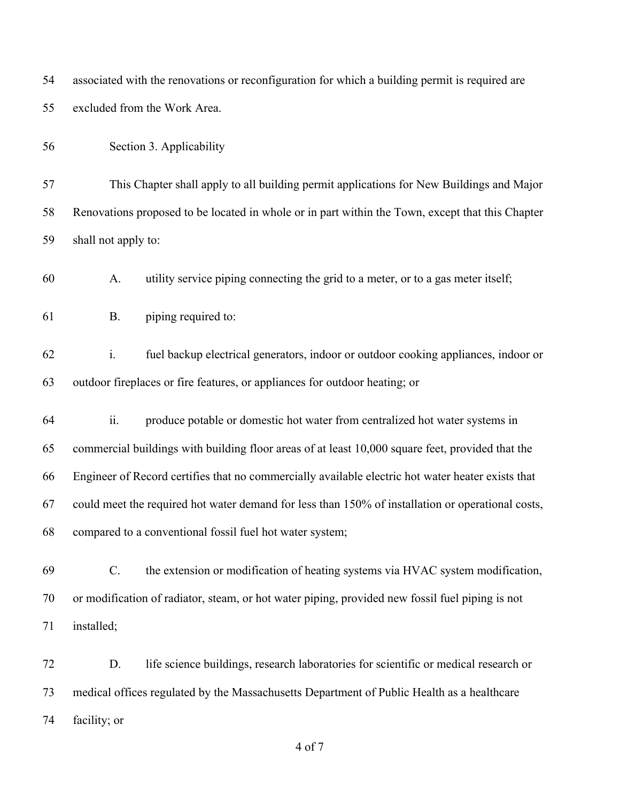| 54 | associated with the renovations or reconfiguration for which a building permit is required are       |  |  |
|----|------------------------------------------------------------------------------------------------------|--|--|
| 55 | excluded from the Work Area.                                                                         |  |  |
| 56 | Section 3. Applicability                                                                             |  |  |
| 57 | This Chapter shall apply to all building permit applications for New Buildings and Major             |  |  |
| 58 | Renovations proposed to be located in whole or in part within the Town, except that this Chapter     |  |  |
| 59 | shall not apply to:                                                                                  |  |  |
| 60 | utility service piping connecting the grid to a meter, or to a gas meter itself;<br>A.               |  |  |
| 61 | piping required to:<br><b>B.</b>                                                                     |  |  |
| 62 | $\mathbf{i}$ .<br>fuel backup electrical generators, indoor or outdoor cooking appliances, indoor or |  |  |
| 63 | outdoor fireplaces or fire features, or appliances for outdoor heating; or                           |  |  |
| 64 | ii.<br>produce potable or domestic hot water from centralized hot water systems in                   |  |  |
| 65 | commercial buildings with building floor areas of at least 10,000 square feet, provided that the     |  |  |
| 66 | Engineer of Record certifies that no commercially available electric hot water heater exists that    |  |  |
| 67 | could meet the required hot water demand for less than 150% of installation or operational costs,    |  |  |
| 68 | compared to a conventional fossil fuel hot water system;                                             |  |  |
| 69 | C.<br>the extension or modification of heating systems via HVAC system modification,                 |  |  |
| 70 | or modification of radiator, steam, or hot water piping, provided new fossil fuel piping is not      |  |  |
| 71 | installed;                                                                                           |  |  |
| 72 | D.<br>life science buildings, research laboratories for scientific or medical research or            |  |  |
| 73 | medical offices regulated by the Massachusetts Department of Public Health as a healthcare           |  |  |
| 74 | facility; or                                                                                         |  |  |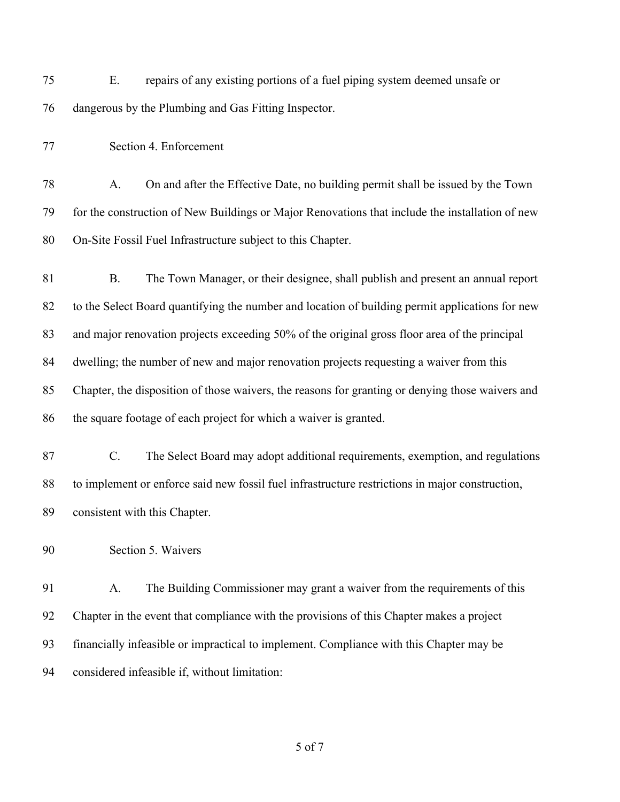E. repairs of any existing portions of a fuel piping system deemed unsafe or dangerous by the Plumbing and Gas Fitting Inspector.

Section 4. Enforcement

 A. On and after the Effective Date, no building permit shall be issued by the Town for the construction of New Buildings or Major Renovations that include the installation of new On-Site Fossil Fuel Infrastructure subject to this Chapter.

 B. The Town Manager, or their designee, shall publish and present an annual report to the Select Board quantifying the number and location of building permit applications for new and major renovation projects exceeding 50% of the original gross floor area of the principal dwelling; the number of new and major renovation projects requesting a waiver from this Chapter, the disposition of those waivers, the reasons for granting or denying those waivers and the square footage of each project for which a waiver is granted.

 C. The Select Board may adopt additional requirements, exemption, and regulations to implement or enforce said new fossil fuel infrastructure restrictions in major construction, consistent with this Chapter.

Section 5. Waivers

 A. The Building Commissioner may grant a waiver from the requirements of this Chapter in the event that compliance with the provisions of this Chapter makes a project financially infeasible or impractical to implement. Compliance with this Chapter may be considered infeasible if, without limitation: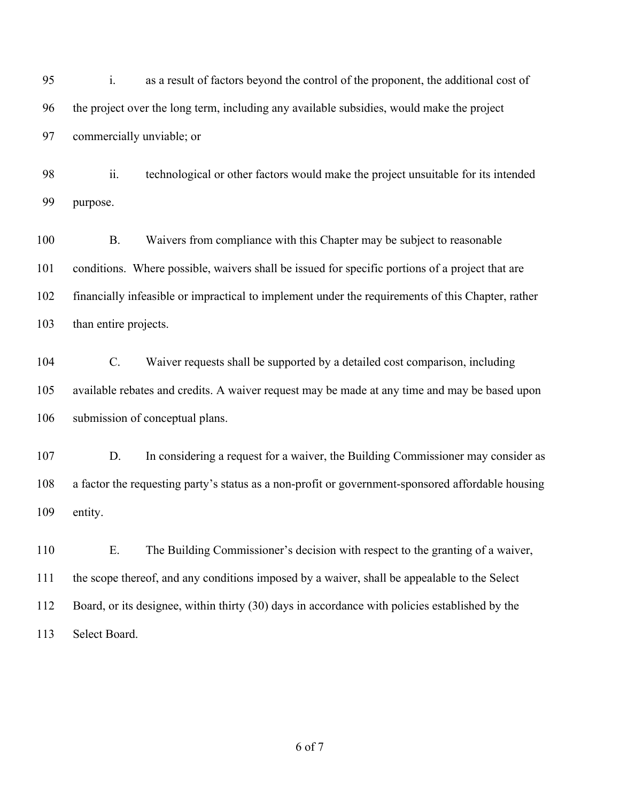i. as a result of factors beyond the control of the proponent, the additional cost of the project over the long term, including any available subsidies, would make the project commercially unviable; or

 ii. technological or other factors would make the project unsuitable for its intended purpose.

 B. Waivers from compliance with this Chapter may be subject to reasonable conditions. Where possible, waivers shall be issued for specific portions of a project that are financially infeasible or impractical to implement under the requirements of this Chapter, rather than entire projects.

 C. Waiver requests shall be supported by a detailed cost comparison, including available rebates and credits. A waiver request may be made at any time and may be based upon submission of conceptual plans.

 D. In considering a request for a waiver, the Building Commissioner may consider as a factor the requesting party's status as a non-profit or government-sponsored affordable housing entity.

 E. The Building Commissioner's decision with respect to the granting of a waiver, the scope thereof, and any conditions imposed by a waiver, shall be appealable to the Select Board, or its designee, within thirty (30) days in accordance with policies established by the Select Board.